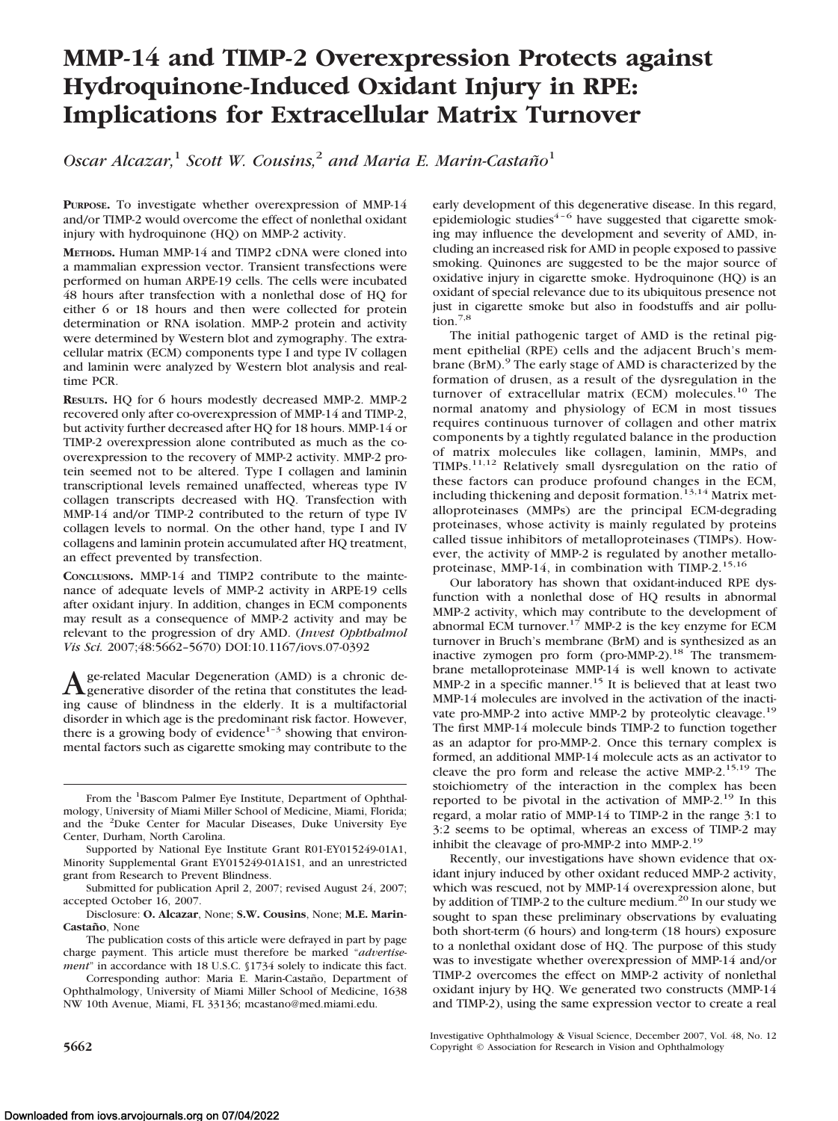# **MMP-14 and TIMP-2 Overexpression Protects against Hydroquinone-Induced Oxidant Injury in RPE: Implications for Extracellular Matrix Turnover**

*Oscar Alcazar,*<sup>1</sup> *Scott W. Cousins,*<sup>2</sup> *and Maria E. Marin-Castan˜o*<sup>1</sup>

**PURPOSE.** To investigate whether overexpression of MMP-14 and/or TIMP-2 would overcome the effect of nonlethal oxidant injury with hydroquinone (HQ) on MMP-2 activity.

**METHODS.** Human MMP-14 and TIMP2 cDNA were cloned into a mammalian expression vector. Transient transfections were performed on human ARPE-19 cells. The cells were incubated 48 hours after transfection with a nonlethal dose of HQ for either 6 or 18 hours and then were collected for protein determination or RNA isolation. MMP-2 protein and activity were determined by Western blot and zymography. The extracellular matrix (ECM) components type I and type IV collagen and laminin were analyzed by Western blot analysis and realtime PCR.

**RESULTS.** HQ for 6 hours modestly decreased MMP-2. MMP-2 recovered only after co-overexpression of MMP-14 and TIMP-2, but activity further decreased after HQ for 18 hours. MMP-14 or TIMP-2 overexpression alone contributed as much as the cooverexpression to the recovery of MMP-2 activity. MMP-2 protein seemed not to be altered. Type I collagen and laminin transcriptional levels remained unaffected, whereas type IV collagen transcripts decreased with HQ. Transfection with MMP-14 and/or TIMP-2 contributed to the return of type IV collagen levels to normal. On the other hand, type I and IV collagens and laminin protein accumulated after HQ treatment, an effect prevented by transfection.

**CONCLUSIONS.** MMP-14 and TIMP2 contribute to the maintenance of adequate levels of MMP-2 activity in ARPE-19 cells after oxidant injury. In addition, changes in ECM components may result as a consequence of MMP-2 activity and may be relevant to the progression of dry AMD. (*Invest Ophthalmol Vis Sci.* 2007;48:5662–5670) DOI:10.1167/iovs.07-0392

A ge-related Macular Degeneration (AMD) is a chronic de-<br>generative disorder of the retina that constitutes the leading cause of blindness in the elderly. It is a multifactorial disorder in which age is the predominant risk factor. However, there is a growing body of evidence $1-3$  showing that environmental factors such as cigarette smoking may contribute to the

Disclosure: **O. Alcazar**, None; **S.W. Cousins**, None; **M.E. Marin-Castan˜o**, None

The publication costs of this article were defrayed in part by page charge payment. This article must therefore be marked "*advertisement*" in accordance with 18 U.S.C. §1734 solely to indicate this fact.

Corresponding author: Maria E. Marin-Castaño, Department of Ophthalmology, University of Miami Miller School of Medicine, 1638 NW 10th Avenue, Miami, FL 33136; mcastano@med.miami.edu.

early development of this degenerative disease. In this regard, epidemiologic studies<sup> $4-6$ </sup> have suggested that cigarette smoking may influence the development and severity of AMD, including an increased risk for AMD in people exposed to passive smoking. Quinones are suggested to be the major source of oxidative injury in cigarette smoke. Hydroquinone (HQ) is an oxidant of special relevance due to its ubiquitous presence not just in cigarette smoke but also in foodstuffs and air pollution.<sup>7,8</sup>

The initial pathogenic target of AMD is the retinal pigment epithelial (RPE) cells and the adjacent Bruch's membrane (BrM).<sup>9</sup> The early stage of AMD is characterized by the formation of drusen, as a result of the dysregulation in the turnover of extracellular matrix (ECM) molecules.<sup>10</sup> The normal anatomy and physiology of ECM in most tissues requires continuous turnover of collagen and other matrix components by a tightly regulated balance in the production of matrix molecules like collagen, laminin, MMPs, and TIMPs.11,12 Relatively small dysregulation on the ratio of these factors can produce profound changes in the ECM, including thickening and deposit formation.<sup>13,14</sup> Matrix metalloproteinases (MMPs) are the principal ECM-degrading proteinases, whose activity is mainly regulated by proteins called tissue inhibitors of metalloproteinases (TIMPs). However, the activity of MMP-2 is regulated by another metalloproteinase, MMP-14, in combination with TIMP-2.<sup>15,16</sup>

Our laboratory has shown that oxidant-induced RPE dysfunction with a nonlethal dose of HQ results in abnormal MMP-2 activity, which may contribute to the development of abnormal ECM turnover.<sup>17</sup> MMP-2 is the key enzyme for ECM turnover in Bruch's membrane (BrM) and is synthesized as an inactive zymogen pro form (pro-MMP-2).<sup>18</sup> The transmembrane metalloproteinase MMP-14 is well known to activate MMP-2 in a specific manner.<sup>15</sup> It is believed that at least two MMP-14 molecules are involved in the activation of the inactivate pro-MMP-2 into active MMP-2 by proteolytic cleavage.<sup>19</sup> The first MMP-14 molecule binds TIMP-2 to function together as an adaptor for pro-MMP-2. Once this ternary complex is formed, an additional MMP-14 molecule acts as an activator to cleave the pro form and release the active MMP-2.<sup>15,19</sup> The stoichiometry of the interaction in the complex has been reported to be pivotal in the activation of MMP-2.<sup>19</sup> In this regard, a molar ratio of MMP-14 to TIMP-2 in the range 3:1 to 3:2 seems to be optimal, whereas an excess of TIMP-2 may inhibit the cleavage of pro-MMP-2 into MMP-2.19

Recently, our investigations have shown evidence that oxidant injury induced by other oxidant reduced MMP-2 activity, which was rescued, not by MMP-14 overexpression alone, but by addition of TIMP-2 to the culture medium.<sup>20</sup> In our study we sought to span these preliminary observations by evaluating both short-term (6 hours) and long-term (18 hours) exposure to a nonlethal oxidant dose of HQ. The purpose of this study was to investigate whether overexpression of MMP-14 and/or TIMP-2 overcomes the effect on MMP-2 activity of nonlethal oxidant injury by HQ. We generated two constructs (MMP-14 and TIMP-2), using the same expression vector to create a real

Investigative Ophthalmology & Visual Science, December 2007, Vol. 48, No. 12 **5662** Copyright © Association for Research in Vision and Ophthalmology

From the <sup>1</sup>Bascom Palmer Eye Institute, Department of Ophthalmology, University of Miami Miller School of Medicine, Miami, Florida; and the <sup>2</sup>Duke Center for Macular Diseases, Duke University Eye Center, Durham, North Carolina.

Supported by National Eye Institute Grant R01-EY015249-01A1, Minority Supplemental Grant EY015249-01A1S1, and an unrestricted grant from Research to Prevent Blindness.

Submitted for publication April 2, 2007; revised August 24, 2007; accepted October 16, 2007.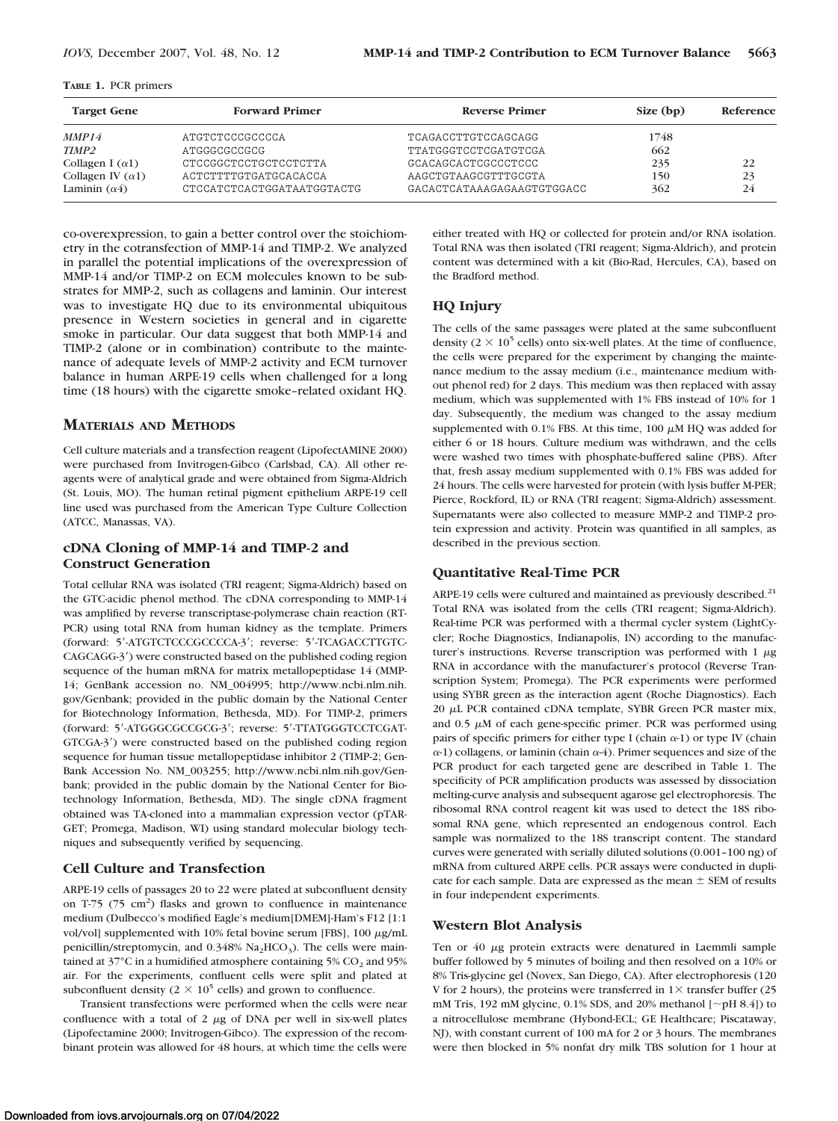|  |  |  | <b>TABLE 1. PCR primers</b> |
|--|--|--|-----------------------------|
|--|--|--|-----------------------------|

| <b>Target Gene</b>       | <b>Forward Primer</b>      | <b>Reverse Primer</b>      | Size $(bp)$ | Reference |
|--------------------------|----------------------------|----------------------------|-------------|-----------|
| MMP14                    | ATGTCTCCCGCCCCA            | TCAGACCTTGTCCAGCAGG        | 1748        |           |
| TIMP2                    | ATGGGCGCCGCG               | TTATGGGTCCTCGATGTCGA       | 662         |           |
| Collagen I $(\alpha 1)$  | CTCCGGCTCCTGCTCCTCTTA      | GCACAGCACTCGCCCTCCC        | 235         | 22        |
| Collagen IV $(\alpha 1)$ | ACTCTTTTGTGATGCACACCA      | AAGCTGTAAGCGTTTGCGTA       | 150         | 23        |
| Laminin $(\alpha 4)$     | CTCCATCTCACTGGATAATGGTACTG | GACACTCATAAAGAGAAGTGTGGACC | 362         | 24        |

co-overexpression, to gain a better control over the stoichiometry in the cotransfection of MMP-14 and TIMP-2. We analyzed in parallel the potential implications of the overexpression of MMP-14 and/or TIMP-2 on ECM molecules known to be substrates for MMP-2, such as collagens and laminin. Our interest was to investigate HQ due to its environmental ubiquitous presence in Western societies in general and in cigarette smoke in particular. Our data suggest that both MMP-14 and TIMP-2 (alone or in combination) contribute to the maintenance of adequate levels of MMP-2 activity and ECM turnover balance in human ARPE-19 cells when challenged for a long time (18 hours) with the cigarette smoke–related oxidant HQ.

# **MATERIALS AND METHODS**

Cell culture materials and a transfection reagent (LipofectAMINE 2000) were purchased from Invitrogen-Gibco (Carlsbad, CA). All other reagents were of analytical grade and were obtained from Sigma-Aldrich (St. Louis, MO). The human retinal pigment epithelium ARPE-19 cell line used was purchased from the American Type Culture Collection (ATCC, Manassas, VA).

# **cDNA Cloning of MMP-14 and TIMP-2 and Construct Generation**

Total cellular RNA was isolated (TRI reagent; Sigma-Aldrich) based on the GTC-acidic phenol method. The cDNA corresponding to MMP-14 was amplified by reverse transcriptase-polymerase chain reaction (RT-PCR) using total RNA from human kidney as the template. Primers (forward: 5'-ATGTCTCCCGCCCCA-3'; reverse: 5'-TCAGACCTTGTC-CAGCAGG-3) were constructed based on the published coding region sequence of the human mRNA for matrix metallopeptidase 14 (MMP-14; GenBank accession no. NM\_004995; http://www.ncbi.nlm.nih. gov/Genbank; provided in the public domain by the National Center for Biotechnology Information, Bethesda, MD). For TIMP-2, primers (forward: 5-ATGGGCGCCGCG-3; reverse: 5-TTATGGGTCCTCGAT-GTCGA-3) were constructed based on the published coding region sequence for human tissue metallopeptidase inhibitor 2 (TIMP-2; Gen-Bank Accession No. NM\_003255; http://www.ncbi.nlm.nih.gov/Genbank; provided in the public domain by the National Center for Biotechnology Information, Bethesda, MD). The single cDNA fragment obtained was TA-cloned into a mammalian expression vector (pTAR-GET; Promega, Madison, WI) using standard molecular biology techniques and subsequently verified by sequencing.

# **Cell Culture and Transfection**

ARPE-19 cells of passages 20 to 22 were plated at subconfluent density on T-75  $(75 \text{ cm}^2)$  flasks and grown to confluence in maintenance medium (Dulbecco's modified Eagle's medium[DMEM]-Ham's F12 [1:1 vol/vol] supplemented with 10% fetal bovine serum [FBS], 100  $\mu$ g/mL penicillin/streptomycin, and  $0.348\%$  Na<sub>2</sub>HCO<sub>3</sub>). The cells were maintained at 37°C in a humidified atmosphere containing 5%  $CO<sub>2</sub>$  and 95% air. For the experiments, confluent cells were split and plated at subconfluent density ( $2 \times 10^5$  cells) and grown to confluence.

Transient transfections were performed when the cells were near confluence with a total of  $2 \mu g$  of DNA per well in six-well plates (Lipofectamine 2000; Invitrogen-Gibco). The expression of the recombinant protein was allowed for 48 hours, at which time the cells were either treated with HQ or collected for protein and/or RNA isolation. Total RNA was then isolated (TRI reagent; Sigma-Aldrich), and protein content was determined with a kit (Bio-Rad, Hercules, CA), based on the Bradford method.

# **HQ Injury**

The cells of the same passages were plated at the same subconfluent density ( $2 \times 10^5$  cells) onto six-well plates. At the time of confluence, the cells were prepared for the experiment by changing the maintenance medium to the assay medium (i.e., maintenance medium without phenol red) for 2 days. This medium was then replaced with assay medium, which was supplemented with 1% FBS instead of 10% for 1 day. Subsequently, the medium was changed to the assay medium supplemented with 0.1% FBS. At this time, 100  $\mu$ M HQ was added for either 6 or 18 hours. Culture medium was withdrawn, and the cells were washed two times with phosphate-buffered saline (PBS). After that, fresh assay medium supplemented with 0.1% FBS was added for 24 hours. The cells were harvested for protein (with lysis buffer M-PER; Pierce, Rockford, IL) or RNA (TRI reagent; Sigma-Aldrich) assessment. Supernatants were also collected to measure MMP-2 and TIMP-2 protein expression and activity. Protein was quantified in all samples, as described in the previous section.

# **Quantitative Real-Time PCR**

ARPE-19 cells were cultured and maintained as previously described.<sup>21</sup> Total RNA was isolated from the cells (TRI reagent; Sigma-Aldrich). Real-time PCR was performed with a thermal cycler system (LightCycler; Roche Diagnostics, Indianapolis, IN) according to the manufacturer's instructions. Reverse transcription was performed with  $1 \mu$ g RNA in accordance with the manufacturer's protocol (Reverse Transcription System; Promega). The PCR experiments were performed using SYBR green as the interaction agent (Roche Diagnostics). Each 20 µL PCR contained cDNA template, SYBR Green PCR master mix, and  $0.5 \mu M$  of each gene-specific primer. PCR was performed using pairs of specific primers for either type I (chain  $\alpha$ -1) or type IV (chain  $\alpha$ -1) collagens, or laminin (chain  $\alpha$ -4). Primer sequences and size of the PCR product for each targeted gene are described in Table 1. The specificity of PCR amplification products was assessed by dissociation melting-curve analysis and subsequent agarose gel electrophoresis. The ribosomal RNA control reagent kit was used to detect the 18S ribosomal RNA gene, which represented an endogenous control. Each sample was normalized to the 18S transcript content. The standard curves were generated with serially diluted solutions (0.001–100 ng) of mRNA from cultured ARPE cells. PCR assays were conducted in duplicate for each sample. Data are expressed as the mean  $\pm$  SEM of results in four independent experiments.

# **Western Blot Analysis**

Ten or  $40 \mu$ g protein extracts were denatured in Laemmli sample buffer followed by 5 minutes of boiling and then resolved on a 10% or 8% Tris-glycine gel (Novex, San Diego, CA). After electrophoresis (120 V for 2 hours), the proteins were transferred in  $1 \times$  transfer buffer (25 mM Tris, 192 mM glycine,  $0.1\%$  SDS, and 20% methanol [ $\sim$ pH 8.4]) to a nitrocellulose membrane (Hybond-ECL; GE Healthcare; Piscataway, NJ), with constant current of 100 mA for 2 or 3 hours. The membranes were then blocked in 5% nonfat dry milk TBS solution for 1 hour at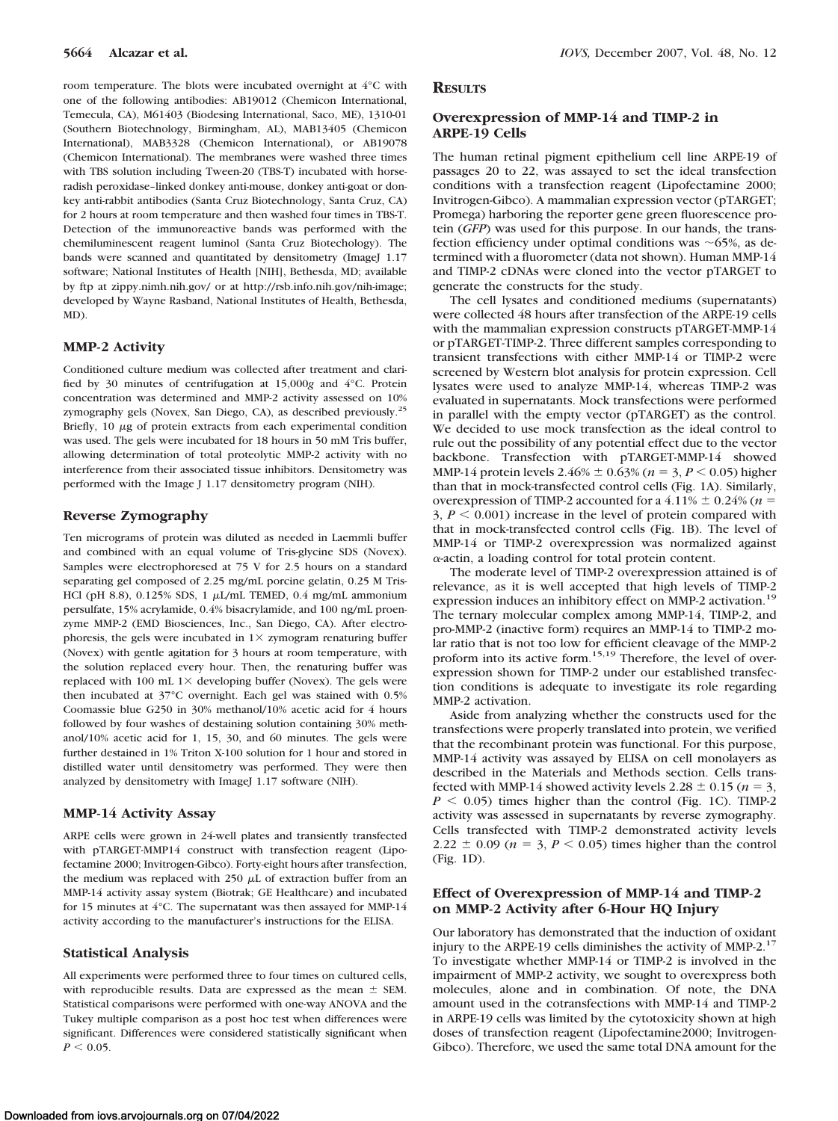room temperature. The blots were incubated overnight at 4°C with one of the following antibodies: AB19012 (Chemicon International, Temecula, CA), M61403 (Biodesing International, Saco, ME), 1310-01 (Southern Biotechnology, Birmingham, AL), MAB13405 (Chemicon International), MAB3328 (Chemicon International), or AB19078 (Chemicon International). The membranes were washed three times with TBS solution including Tween-20 (TBS-T) incubated with horseradish peroxidase–linked donkey anti-mouse, donkey anti-goat or donkey anti-rabbit antibodies (Santa Cruz Biotechnology, Santa Cruz, CA) for 2 hours at room temperature and then washed four times in TBS-T. Detection of the immunoreactive bands was performed with the chemiluminescent reagent luminol (Santa Cruz Biotechology). The bands were scanned and quantitated by densitometry (ImageJ 1.17 software; National Institutes of Health [NIH], Bethesda, MD; available by ftp at zippy.nimh.nih.gov/ or at http://rsb.info.nih.gov/nih-image; developed by Wayne Rasband, National Institutes of Health, Bethesda, MD).

# **MMP-2 Activity**

Conditioned culture medium was collected after treatment and clarified by 30 minutes of centrifugation at 15,000*g* and 4°C. Protein concentration was determined and MMP-2 activity assessed on 10% zymography gels (Novex, San Diego, CA), as described previously.25 Briefly,  $10 \mu g$  of protein extracts from each experimental condition was used. The gels were incubated for 18 hours in 50 mM Tris buffer, allowing determination of total proteolytic MMP-2 activity with no interference from their associated tissue inhibitors. Densitometry was performed with the Image J 1.17 densitometry program (NIH).

# **Reverse Zymography**

Ten micrograms of protein was diluted as needed in Laemmli buffer and combined with an equal volume of Tris-glycine SDS (Novex). Samples were electrophoresed at 75 V for 2.5 hours on a standard separating gel composed of 2.25 mg/mL porcine gelatin, 0.25 M Tris-HCl (pH 8.8),  $0.125\%$  SDS, 1  $\mu$ L/mL TEMED,  $0.4$  mg/mL ammonium persulfate, 15% acrylamide, 0.4% bisacrylamide, and 100 ng/mL proenzyme MMP-2 (EMD Biosciences, Inc., San Diego, CA). After electrophoresis, the gels were incubated in  $1 \times z$ ymogram renaturing buffer (Novex) with gentle agitation for 3 hours at room temperature, with the solution replaced every hour. Then, the renaturing buffer was replaced with 100 mL  $1\times$  developing buffer (Novex). The gels were then incubated at 37°C overnight. Each gel was stained with 0.5% Coomassie blue G250 in 30% methanol/10% acetic acid for 4 hours followed by four washes of destaining solution containing 30% methanol/10% acetic acid for 1, 15, 30, and 60 minutes. The gels were further destained in 1% Triton X-100 solution for 1 hour and stored in distilled water until densitometry was performed. They were then analyzed by densitometry with ImageJ 1.17 software (NIH).

# **MMP-14 Activity Assay**

ARPE cells were grown in 24-well plates and transiently transfected with pTARGET-MMP14 construct with transfection reagent (Lipofectamine 2000; Invitrogen-Gibco). Forty-eight hours after transfection, the medium was replaced with 250  $\mu$ L of extraction buffer from an MMP-14 activity assay system (Biotrak; GE Healthcare) and incubated for 15 minutes at 4°C. The supernatant was then assayed for MMP-14 activity according to the manufacturer's instructions for the ELISA.

#### **Statistical Analysis**

All experiments were performed three to four times on cultured cells, with reproducible results. Data are expressed as the mean  $\pm$  SEM. Statistical comparisons were performed with one-way ANOVA and the Tukey multiple comparison as a post hoc test when differences were significant. Differences were considered statistically significant when  $P \le 0.05$ .

#### **RESULTS**

#### **Overexpression of MMP-14 and TIMP-2 in ARPE-19 Cells**

The human retinal pigment epithelium cell line ARPE-19 of passages 20 to 22, was assayed to set the ideal transfection conditions with a transfection reagent (Lipofectamine 2000; Invitrogen-Gibco). A mammalian expression vector (pTARGET; Promega) harboring the reporter gene green fluorescence protein (*GFP*) was used for this purpose. In our hands, the transfection efficiency under optimal conditions was  $\sim 65\%$ , as determined with a fluorometer (data not shown). Human MMP-14 and TIMP-2 cDNAs were cloned into the vector pTARGET to generate the constructs for the study.

The cell lysates and conditioned mediums (supernatants) were collected 48 hours after transfection of the ARPE-19 cells with the mammalian expression constructs pTARGET-MMP-14 or pTARGET-TIMP-2. Three different samples corresponding to transient transfections with either MMP-14 or TIMP-2 were screened by Western blot analysis for protein expression. Cell lysates were used to analyze MMP-14, whereas TIMP-2 was evaluated in supernatants. Mock transfections were performed in parallel with the empty vector (pTARGET) as the control. We decided to use mock transfection as the ideal control to rule out the possibility of any potential effect due to the vector backbone. Transfection with pTARGET-MMP-14 showed MMP-14 protein levels  $2.46\% \pm 0.63\%$  ( $n = 3, P < 0.05$ ) higher than that in mock-transfected control cells (Fig. 1A). Similarly, overexpression of TIMP-2 accounted for a  $4.11\% \pm 0.24\%$  ( $n =$  $3, P \leq 0.001$ ) increase in the level of protein compared with that in mock-transfected control cells (Fig. 1B). The level of MMP-14 or TIMP-2 overexpression was normalized against  $\alpha$ -actin, a loading control for total protein content.

The moderate level of TIMP-2 overexpression attained is of relevance, as it is well accepted that high levels of TIMP-2 expression induces an inhibitory effect on MMP-2 activation.<sup>19</sup> The ternary molecular complex among MMP-14, TIMP-2, and pro-MMP-2 (inactive form) requires an MMP-14 to TIMP-2 molar ratio that is not too low for efficient cleavage of the MMP-2 proform into its active form.<sup>15,19</sup> Therefore, the level of overexpression shown for TIMP-2 under our established transfection conditions is adequate to investigate its role regarding MMP-2 activation.

Aside from analyzing whether the constructs used for the transfections were properly translated into protein, we verified that the recombinant protein was functional. For this purpose, MMP-14 activity was assayed by ELISA on cell monolayers as described in the Materials and Methods section. Cells transfected with MMP-14 showed activity levels  $2.28 \pm 0.15$  ( $n = 3$ ,  $P \leq 0.05$ ) times higher than the control (Fig. 1C). TIMP-2 activity was assessed in supernatants by reverse zymography. Cells transfected with TIMP-2 demonstrated activity levels  $2.22 \pm 0.09$  ( $n = 3, P < 0.05$ ) times higher than the control (Fig. 1D).

# **Effect of Overexpression of MMP-14 and TIMP-2 on MMP-2 Activity after 6-Hour HQ Injury**

Our laboratory has demonstrated that the induction of oxidant injury to the ARPE-19 cells diminishes the activity of MMP-2. $^{17}$ To investigate whether MMP-14 or TIMP-2 is involved in the impairment of MMP-2 activity, we sought to overexpress both molecules, alone and in combination. Of note, the DNA amount used in the cotransfections with MMP-14 and TIMP-2 in ARPE-19 cells was limited by the cytotoxicity shown at high doses of transfection reagent (Lipofectamine2000; Invitrogen-Gibco). Therefore, we used the same total DNA amount for the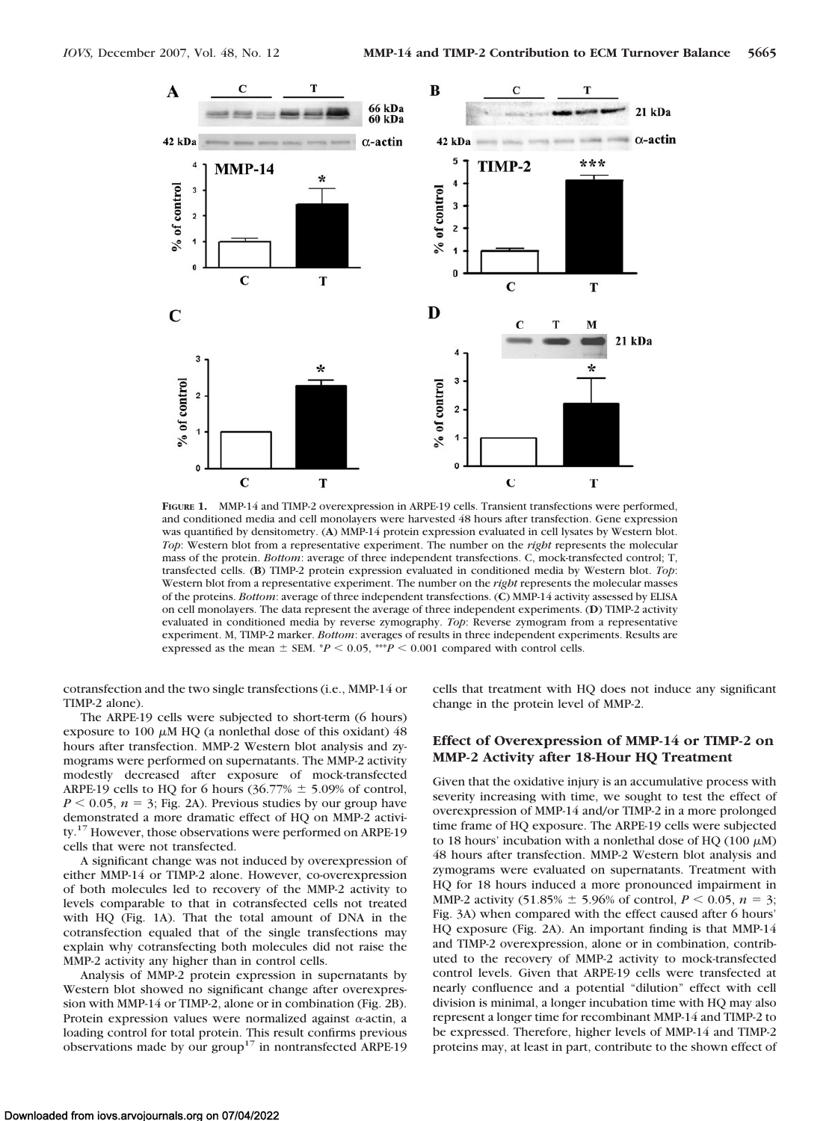

**FIGURE 1.** MMP-14 and TIMP-2 overexpression in ARPE-19 cells. Transient transfections were performed, and conditioned media and cell monolayers were harvested 48 hours after transfection. Gene expression was quantified by densitometry. (**A**) MMP-14 protein expression evaluated in cell lysates by Western blot. *Top*: Western blot from a representative experiment. The number on the *right* represents the molecular mass of the protein. *Bottom*: average of three independent transfections. C, mock-transfected control; T, transfected cells. (**B**) TIMP-2 protein expression evaluated in conditioned media by Western blot. *Top*: Western blot from a representative experiment. The number on the *right* represents the molecular masses of the proteins. *Bottom*: average of three independent transfections. (**C**) MMP-14 activity assessed by ELISA on cell monolayers. The data represent the average of three independent experiments. (**D**) TIMP-2 activity evaluated in conditioned media by reverse zymography. *Top*: Reverse zymogram from a representative experiment. M, TIMP-2 marker. *Bottom*: averages of results in three independent experiments. Results are expressed as the mean  $\pm$  SEM. \**P* < 0.05, \*\*\**P* < 0.001 compared with control cells.

cotransfection and the two single transfections (i.e., MMP-14 or TIMP-2 alone).

The ARPE-19 cells were subjected to short-term (6 hours) exposure to 100  $\mu$ M HQ (a nonlethal dose of this oxidant) 48 hours after transfection. MMP-2 Western blot analysis and zymograms were performed on supernatants. The MMP-2 activity modestly decreased after exposure of mock-transfected ARPE-19 cells to HQ for 6 hours  $(36.77\% \pm 5.09\%$  of control,  $P \le 0.05$ ,  $n = 3$ ; Fig. 2A). Previous studies by our group have demonstrated a more dramatic effect of HQ on MMP-2 activity.<sup>17</sup> However, those observations were performed on ARPE-19 cells that were not transfected.

A significant change was not induced by overexpression of either MMP-14 or TIMP-2 alone. However, co-overexpression of both molecules led to recovery of the MMP-2 activity to levels comparable to that in cotransfected cells not treated with HQ (Fig. 1A). That the total amount of DNA in the cotransfection equaled that of the single transfections may explain why cotransfecting both molecules did not raise the MMP-2 activity any higher than in control cells.

Analysis of MMP-2 protein expression in supernatants by Western blot showed no significant change after overexpression with MMP-14 or TIMP-2, alone or in combination (Fig. 2B). Protein expression values were normalized against  $\alpha$ -actin, a loading control for total protein. This result confirms previous observations made by our group<sup>17</sup> in nontransfected ARPE-19 cells that treatment with HQ does not induce any significant change in the protein level of MMP-2.

# **Effect of Overexpression of MMP-14 or TIMP-2 on MMP-2 Activity after 18-Hour HQ Treatment**

Given that the oxidative injury is an accumulative process with severity increasing with time, we sought to test the effect of overexpression of MMP-14 and/or TIMP-2 in a more prolonged time frame of HQ exposure. The ARPE-19 cells were subjected to 18 hours' incubation with a nonlethal dose of HQ (100  $\mu$ M) 48 hours after transfection. MMP-2 Western blot analysis and zymograms were evaluated on supernatants. Treatment with HQ for 18 hours induced a more pronounced impairment in MMP-2 activity (51.85%  $\pm$  5.96% of control,  $P \le 0.05$ ,  $n = 3$ ; Fig. 3A) when compared with the effect caused after 6 hours' HQ exposure (Fig. 2A). An important finding is that MMP-14 and TIMP-2 overexpression, alone or in combination, contributed to the recovery of MMP-2 activity to mock-transfected control levels. Given that ARPE-19 cells were transfected at nearly confluence and a potential "dilution" effect with cell division is minimal, a longer incubation time with HQ may also represent a longer time for recombinant MMP-14 and TIMP-2 to be expressed. Therefore, higher levels of MMP-14 and TIMP-2 proteins may, at least in part, contribute to the shown effect of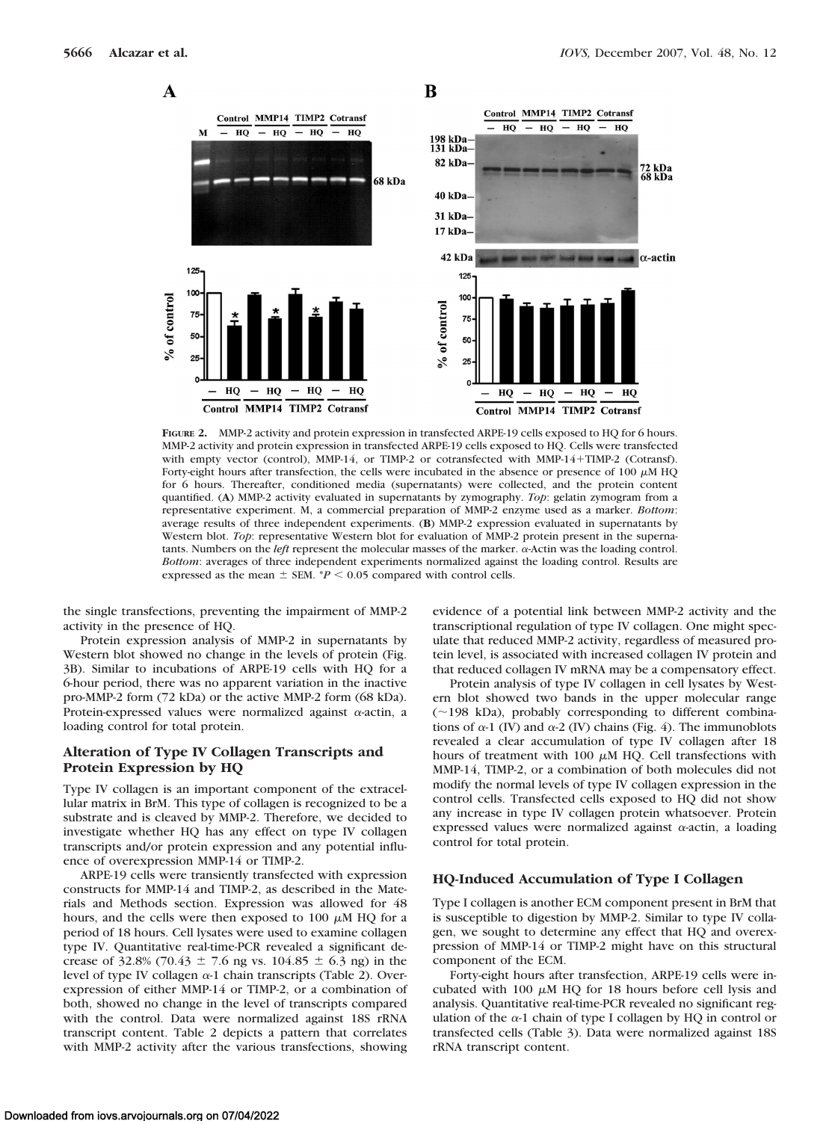

**FIGURE 2.** MMP-2 activity and protein expression in transfected ARPE-19 cells exposed to HQ for 6 hours. MMP-2 activity and protein expression in transfected ARPE-19 cells exposed to HQ. Cells were transfected with empty vector (control), MMP-14, or TIMP-2 or cotransfected with MMP-14+TIMP-2 (Cotransf). Forty-eight hours after transfection, the cells were incubated in the absence or presence of 100  $\mu$ M HQ for 6 hours. Thereafter, conditioned media (supernatants) were collected, and the protein content quantified. (**A**) MMP-2 activity evaluated in supernatants by zymography. *Top*: gelatin zymogram from a representative experiment. M, a commercial preparation of MMP-2 enzyme used as a marker. *Bottom*: average results of three independent experiments. (**B**) MMP-2 expression evaluated in supernatants by Western blot. *Top*: representative Western blot for evaluation of MMP-2 protein present in the supernatants. Numbers on the *left* represent the molecular masses of the marker.  $\alpha$ -Actin was the loading control. *Bottom*: averages of three independent experiments normalized against the loading control. Results are expressed as the mean  $\pm$  SEM.  $*P$  < 0.05 compared with control cells.

the single transfections, preventing the impairment of MMP-2 activity in the presence of HQ.

Protein expression analysis of MMP-2 in supernatants by Western blot showed no change in the levels of protein (Fig. 3B). Similar to incubations of ARPE-19 cells with HQ for a 6-hour period, there was no apparent variation in the inactive pro-MMP-2 form (72 kDa) or the active MMP-2 form (68 kDa). Protein-expressed values were normalized against  $\alpha$ -actin, a loading control for total protein.

# **Alteration of Type IV Collagen Transcripts and Protein Expression by HQ**

Type IV collagen is an important component of the extracellular matrix in BrM. This type of collagen is recognized to be a substrate and is cleaved by MMP-2. Therefore, we decided to investigate whether HQ has any effect on type IV collagen transcripts and/or protein expression and any potential influence of overexpression MMP-14 or TIMP-2.

ARPE-19 cells were transiently transfected with expression constructs for MMP-14 and TIMP-2, as described in the Materials and Methods section. Expression was allowed for 48 hours, and the cells were then exposed to 100  $\mu$ M HQ for a period of 18 hours. Cell lysates were used to examine collagen type IV. Quantitative real-time-PCR revealed a significant decrease of 32.8% (70.43  $\pm$  7.6 ng vs. 104.85  $\pm$  6.3 ng) in the level of type IV collagen  $\alpha$ -1 chain transcripts (Table 2). Overexpression of either MMP-14 or TIMP-2, or a combination of both, showed no change in the level of transcripts compared with the control. Data were normalized against 18S rRNA transcript content. Table 2 depicts a pattern that correlates with MMP-2 activity after the various transfections, showing

evidence of a potential link between MMP-2 activity and the transcriptional regulation of type IV collagen. One might speculate that reduced MMP-2 activity, regardless of measured protein level, is associated with increased collagen IV protein and that reduced collagen IV mRNA may be a compensatory effect.

Protein analysis of type IV collagen in cell lysates by Western blot showed two bands in the upper molecular range  $(\sim 198 \text{ kDa})$ , probably corresponding to different combinations of  $\alpha$ -1 (IV) and  $\alpha$ -2 (IV) chains (Fig. 4). The immunoblots revealed a clear accumulation of type IV collagen after 18 hours of treatment with 100  $\mu$ M HQ. Cell transfections with MMP-14, TIMP-2, or a combination of both molecules did not modify the normal levels of type IV collagen expression in the control cells. Transfected cells exposed to HQ did not show any increase in type IV collagen protein whatsoever. Protein expressed values were normalized against  $\alpha$ -actin, a loading control for total protein.

#### **HQ-Induced Accumulation of Type I Collagen**

Type I collagen is another ECM component present in BrM that is susceptible to digestion by MMP-2. Similar to type IV collagen, we sought to determine any effect that HQ and overexpression of MMP-14 or TIMP-2 might have on this structural component of the ECM.

Forty-eight hours after transfection, ARPE-19 cells were incubated with 100  $\mu$ M HQ for 18 hours before cell lysis and analysis. Quantitative real-time-PCR revealed no significant regulation of the  $\alpha$ -1 chain of type I collagen by HQ in control or transfected cells (Table 3). Data were normalized against 18S rRNA transcript content.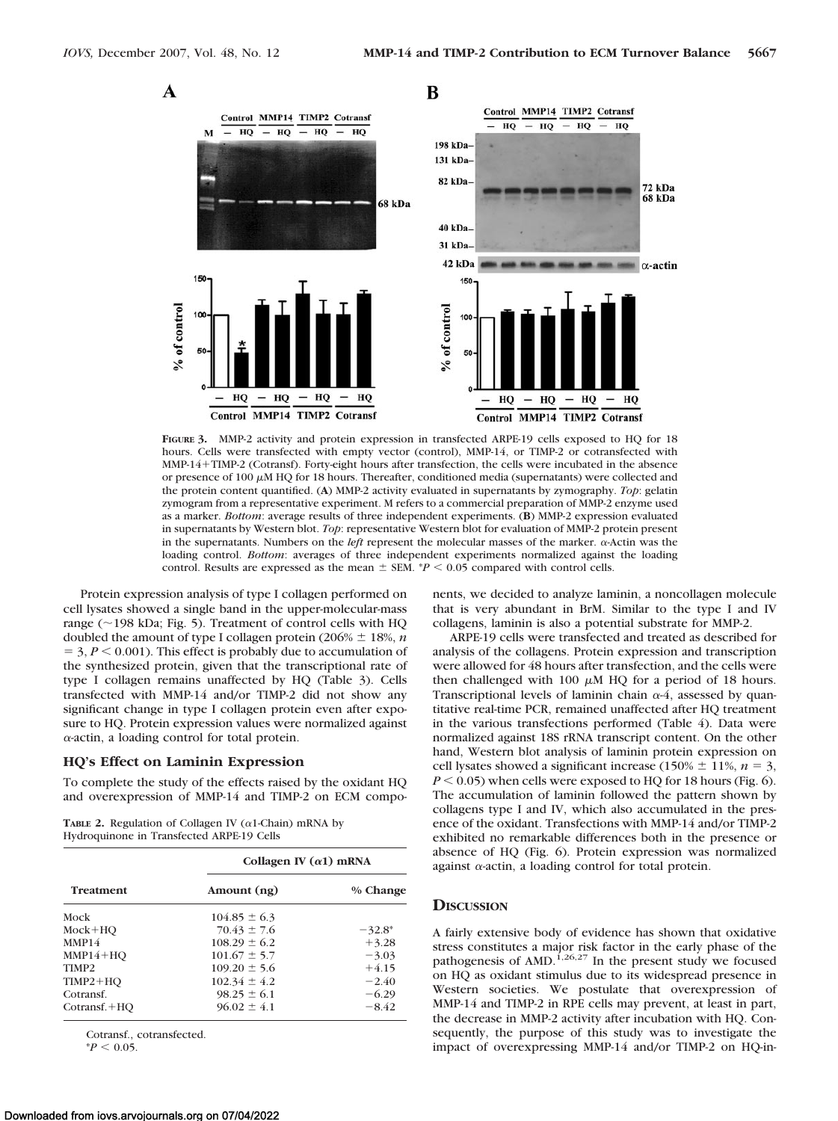

**FIGURE 3.** MMP-2 activity and protein expression in transfected ARPE-19 cells exposed to HQ for 18 hours. Cells were transfected with empty vector (control), MMP-14, or TIMP-2 or cotransfected with MMP-14TIMP-2 (Cotransf). Forty-eight hours after transfection, the cells were incubated in the absence or presence of 100  $\mu$ M HQ for 18 hours. Thereafter, conditioned media (supernatants) were collected and the protein content quantified. (**A**) MMP-2 activity evaluated in supernatants by zymography. *Top*: gelatin zymogram from a representative experiment. M refers to a commercial preparation of MMP-2 enzyme used as a marker. *Bottom*: average results of three independent experiments. (**B**) MMP-2 expression evaluated in supernatants by Western blot. *Top*: representative Western blot for evaluation of MMP-2 protein present in the supernatants. Numbers on the *left* represent the molecular masses of the marker.  $\alpha$ -Actin was the loading control. *Bottom*: averages of three independent experiments normalized against the loading control. Results are expressed as the mean  $\pm$  SEM.  $*P < 0.05$  compared with control cells.

Protein expression analysis of type I collagen performed on cell lysates showed a single band in the upper-molecular-mass range ( $\sim$ 198 kDa; Fig. 5). Treatment of control cells with HQ doubled the amount of type I collagen protein (206%  $\pm$  18%, *n*  $=$  3,  $P$  < 0.001). This effect is probably due to accumulation of the synthesized protein, given that the transcriptional rate of type I collagen remains unaffected by HQ (Table 3). Cells transfected with MMP-14 and/or TIMP-2 did not show any significant change in type I collagen protein even after exposure to HQ. Protein expression values were normalized against --actin, a loading control for total protein.

#### **HQ's Effect on Laminin Expression**

To complete the study of the effects raised by the oxidant HQ and overexpression of MMP-14 and TIMP-2 on ECM compo-

**TABLE 2.** Regulation of Collagen IV  $(\alpha 1$ -Chain) mRNA by Hydroquinone in Transfected ARPE-19 Cells

| <b>Treatment</b>  | Collagen IV $(\alpha 1)$ mRNA |           |  |
|-------------------|-------------------------------|-----------|--|
|                   | Amount (ng)                   | % Change  |  |
| Mock              | $104.85 \pm 6.3$              |           |  |
| $Mock+HO$         | $70.43 \pm 7.6$               | $-32.8^*$ |  |
| MMP14             | $108.29 \pm 6.2$              | $+3.28$   |  |
| $MMP14+HO$        | $101.67 \pm 5.7$              | $-3.03$   |  |
| TIMP <sub>2</sub> | $109.20 \pm 5.6$              | $+4.15$   |  |
| $TIMP2+HQ$        | $102.34 \pm 4.2$              | $-2.40$   |  |
| Cotransf.         | $98.25 \pm 6.1$               | $-6.29$   |  |
| $Cotransf. + HO$  | $96.02 \pm 4.1$               | $-8.42$   |  |

Cotransf., cotransfected.

 $*P < 0.05$ 

Downloaded from iovs.arvojournals.org on 07/04/2022

nents, we decided to analyze laminin, a noncollagen molecule that is very abundant in BrM. Similar to the type I and IV collagens, laminin is also a potential substrate for MMP-2.

ARPE-19 cells were transfected and treated as described for analysis of the collagens. Protein expression and transcription were allowed for 48 hours after transfection, and the cells were then challenged with 100  $\mu$ M HQ for a period of 18 hours. Transcriptional levels of laminin chain  $\alpha$ -4, assessed by quantitative real-time PCR, remained unaffected after HQ treatment in the various transfections performed (Table 4). Data were normalized against 18S rRNA transcript content. On the other hand, Western blot analysis of laminin protein expression on cell lysates showed a significant increase (150%  $\pm$  11%, *n* = 3,  $P \leq 0.05$ ) when cells were exposed to HQ for 18 hours (Fig. 6). The accumulation of laminin followed the pattern shown by collagens type I and IV, which also accumulated in the presence of the oxidant. Transfections with MMP-14 and/or TIMP-2 exhibited no remarkable differences both in the presence or absence of HQ (Fig. 6). Protein expression was normalized against  $\alpha$ -actin, a loading control for total protein.

# **DISCUSSION**

A fairly extensive body of evidence has shown that oxidative stress constitutes a major risk factor in the early phase of the pathogenesis of AMD.<sup>1,26,27</sup> In the present study we focused on HQ as oxidant stimulus due to its widespread presence in Western societies. We postulate that overexpression of MMP-14 and TIMP-2 in RPE cells may prevent, at least in part, the decrease in MMP-2 activity after incubation with HQ. Consequently, the purpose of this study was to investigate the impact of overexpressing MMP-14 and/or TIMP-2 on HQ-in-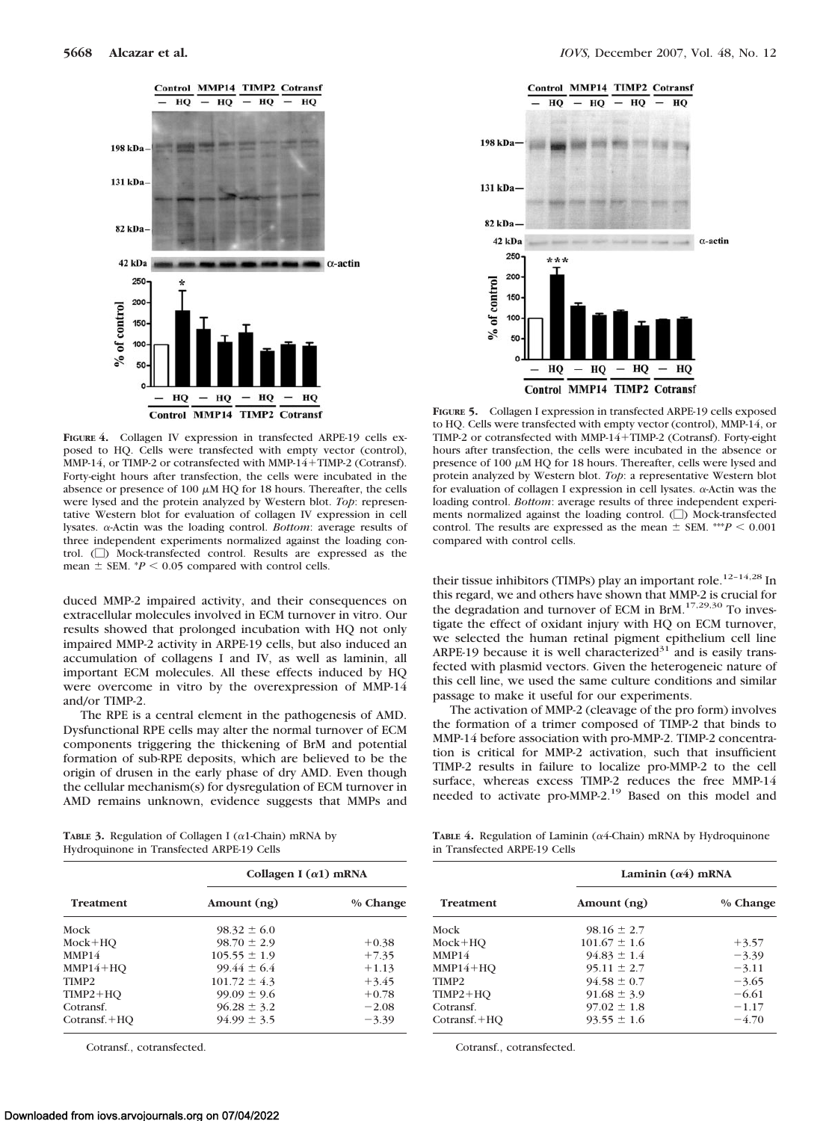

**FIGURE 4.** Collagen IV expression in transfected ARPE-19 cells exposed to HQ. Cells were transfected with empty vector (control), MMP-14, or TIMP-2 or cotransfected with MMP-14+TIMP-2 (Cotransf). Forty-eight hours after transfection, the cells were incubated in the absence or presence of 100  $\mu$ M HQ for 18 hours. Thereafter, the cells were lysed and the protein analyzed by Western blot. *Top*: representative Western blot for evaluation of collagen IV expression in cell lysates.  $\alpha$ -Actin was the loading control. *Bottom*: average results of three independent experiments normalized against the loading control. ( $\square$ ) Mock-transfected control. Results are expressed as the mean  $\pm$  SEM.  $*P$  < 0.05 compared with control cells.

duced MMP-2 impaired activity, and their consequences on extracellular molecules involved in ECM turnover in vitro. Our results showed that prolonged incubation with HQ not only impaired MMP-2 activity in ARPE-19 cells, but also induced an accumulation of collagens I and IV, as well as laminin, all important ECM molecules. All these effects induced by HQ were overcome in vitro by the overexpression of MMP-14 and/or TIMP-2.

The RPE is a central element in the pathogenesis of AMD. Dysfunctional RPE cells may alter the normal turnover of ECM components triggering the thickening of BrM and potential formation of sub-RPE deposits, which are believed to be the origin of drusen in the early phase of dry AMD. Even though the cellular mechanism(s) for dysregulation of ECM turnover in AMD remains unknown, evidence suggests that MMPs and

**TABLE 3.** Regulation of Collagen I ( $\alpha$ 1-Chain) mRNA by Hydroquinone in Transfected ARPE-19 Cells

| <b>Treatment</b>  | Collagen I $(\alpha 1)$ mRNA |          |  |
|-------------------|------------------------------|----------|--|
|                   | Amount (ng)                  | % Change |  |
| Mock              | $98.32 \pm 6.0$              |          |  |
| $Mock+HO$         | $98.70 \pm 2.9$              | $+0.38$  |  |
| MMP14             | $105.55 \pm 1.9$             | $+7.35$  |  |
| $MMP14+HO$        | $99.44 \pm 6.4$              | $+1.13$  |  |
| TIMP <sub>2</sub> | $101.72 \pm 4.3$             | $+3.45$  |  |
| $TIMP2+HO$        | $99.09 \pm 9.6$              | $+0.78$  |  |
| Cotransf.         | $96.28 \pm 3.2$              | $-2.08$  |  |
| $Cotransf. + HO$  | $94.99 \pm 3.5$              | $-3.39$  |  |

Cotransf., cotransfected.



**FIGURE 5.** Collagen I expression in transfected ARPE-19 cells exposed to HQ. Cells were transfected with empty vector (control), MMP-14, or TIMP-2 or cotransfected with MMP-14+TIMP-2 (Cotransf). Forty-eight hours after transfection, the cells were incubated in the absence or presence of  $100 \mu M$  HQ for 18 hours. Thereafter, cells were lysed and protein analyzed by Western blot. *Top*: a representative Western blot for evaluation of collagen I expression in cell lysates.  $\alpha$ -Actin was the loading control. *Bottom*: average results of three independent experiments normalized against the loading control.  $\Box$ ) Mock-transfected control. The results are expressed as the mean  $\pm$  SEM. \*\*\* $P < 0.001$ compared with control cells.

their tissue inhibitors (TIMPs) play an important role.<sup>12-14,28</sup> In this regard, we and others have shown that MMP-2 is crucial for the degradation and turnover of ECM in BrM.<sup>17,29,30</sup> To investigate the effect of oxidant injury with HQ on ECM turnover, we selected the human retinal pigment epithelium cell line ARPE-19 because it is well characterized<sup>31</sup> and is easily transfected with plasmid vectors. Given the heterogeneic nature of this cell line, we used the same culture conditions and similar passage to make it useful for our experiments.

The activation of MMP-2 (cleavage of the pro form) involves the formation of a trimer composed of TIMP-2 that binds to MMP-14 before association with pro-MMP-2. TIMP-2 concentration is critical for MMP-2 activation, such that insufficient TIMP-2 results in failure to localize pro-MMP-2 to the cell surface, whereas excess TIMP-2 reduces the free MMP-14 needed to activate pro-MMP-2.<sup>19</sup> Based on this model and

**TABLE 4.** Regulation of Laminin ( $\alpha$ 4-Chain) mRNA by Hydroquinone in Transfected ARPE-19 Cells

| <b>Treatment</b> | Laminin $(\alpha 4)$ mRNA |          |  |
|------------------|---------------------------|----------|--|
|                  | Amount (ng)               | % Change |  |
| Mock             | $98.16 \pm 2.7$           |          |  |
| Mock+HO          | $101.67 \pm 1.6$          | $+3.57$  |  |
| MMP14            | $94.83 \pm 1.4$           | $-3.39$  |  |
| MMP14+HO         | $95.11 \pm 2.7$           | $-3.11$  |  |
| TIMP2            | $94.58 \pm 0.7$           | $-3.65$  |  |
| TIMP2+HO         | $91.68 \pm 3.9$           | $-6.61$  |  |
| Cotransf.        | $97.02 \pm 1.8$           | $-1.17$  |  |
| Cotransf.+HQ     | $93.55 \pm 1.6$           | $-4.70$  |  |
|                  |                           |          |  |

Cotransf., cotransfected.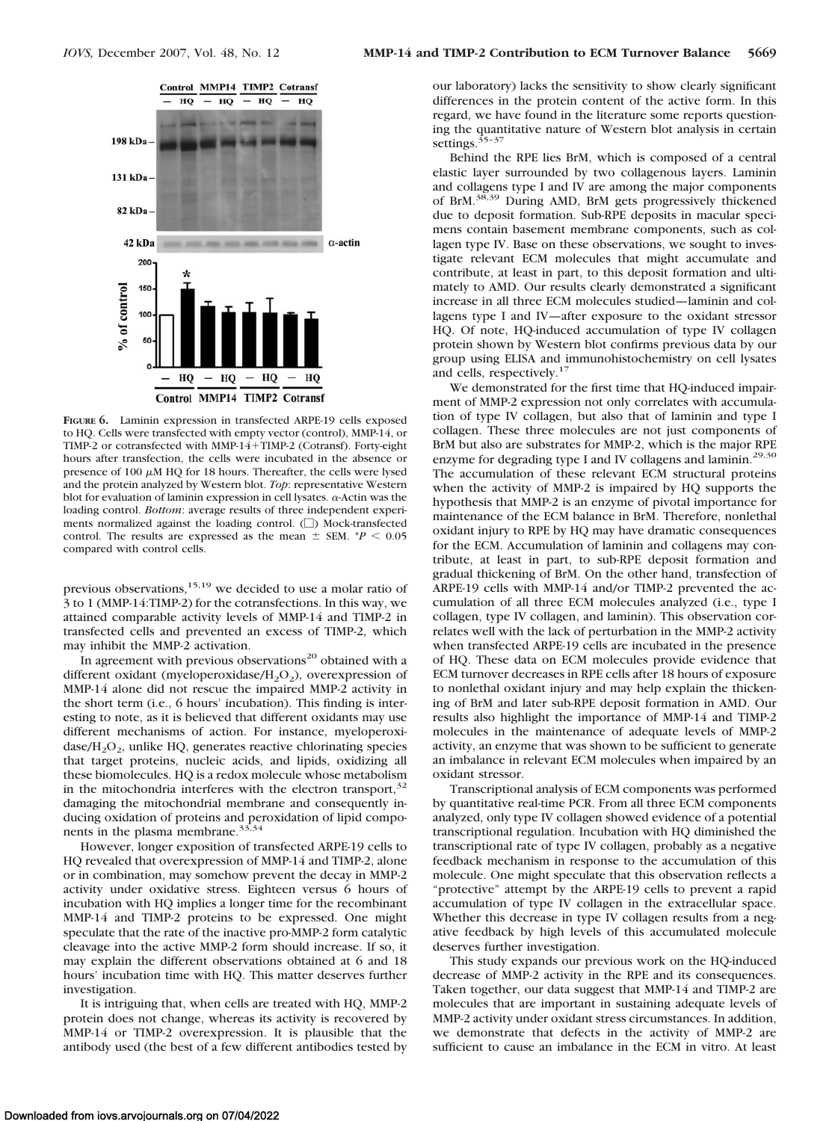

**FIGURE 6.** Laminin expression in transfected ARPE-19 cells exposed to HQ. Cells were transfected with empty vector (control), MMP-14, or TIMP-2 or cotransfected with MMP-14+TIMP-2 (Cotransf). Forty-eight hours after transfection, the cells were incubated in the absence or presence of 100  $\mu$ M HQ for 18 hours. Thereafter, the cells were lysed and the protein analyzed by Western blot. *Top*: representative Western blot for evaluation of laminin expression in cell lysates.  $\alpha$ -Actin was the loading control. *Bottom*: average results of three independent experiments normalized against the loading control.  $\Box$ ) Mock-transfected control. The results are expressed as the mean  $\pm$  SEM.  $*P$  < 0.05 compared with control cells.

previous observations, $15,19$  we decided to use a molar ratio of 3 to 1 (MMP-14:TIMP-2) for the cotransfections. In this way, we attained comparable activity levels of MMP-14 and TIMP-2 in transfected cells and prevented an excess of TIMP-2, which may inhibit the MMP-2 activation.

In agreement with previous observations<sup>20</sup> obtained with a different oxidant (myeloperoxidase/ $H_2O_2$ ), overexpression of MMP-14 alone did not rescue the impaired MMP-2 activity in the short term (i.e., 6 hours' incubation). This finding is interesting to note, as it is believed that different oxidants may use different mechanisms of action. For instance, myeloperoxi- $\text{dase/H}_2\text{O}_2$ , unlike HQ, generates reactive chlorinating species that target proteins, nucleic acids, and lipids, oxidizing all these biomolecules. HQ is a redox molecule whose metabolism in the mitochondria interferes with the electron transport, $32$ damaging the mitochondrial membrane and consequently inducing oxidation of proteins and peroxidation of lipid components in the plasma membrane.<sup>33,34</sup>

However, longer exposition of transfected ARPE-19 cells to HQ revealed that overexpression of MMP-14 and TIMP-2, alone or in combination, may somehow prevent the decay in MMP-2 activity under oxidative stress. Eighteen versus 6 hours of incubation with HQ implies a longer time for the recombinant MMP-14 and TIMP-2 proteins to be expressed. One might speculate that the rate of the inactive pro-MMP-2 form catalytic cleavage into the active MMP-2 form should increase. If so, it may explain the different observations obtained at 6 and 18 hours' incubation time with HQ. This matter deserves further investigation.

It is intriguing that, when cells are treated with HQ, MMP-2 protein does not change, whereas its activity is recovered by MMP-14 or TIMP-2 overexpression. It is plausible that the antibody used (the best of a few different antibodies tested by

our laboratory) lacks the sensitivity to show clearly significant differences in the protein content of the active form. In this regard, we have found in the literature some reports questioning the quantitative nature of Western blot analysis in certain settings.<sup>35-37</sup>

Behind the RPE lies BrM, which is composed of a central elastic layer surrounded by two collagenous layers. Laminin and collagens type I and IV are among the major components of BrM.38,39 During AMD, BrM gets progressively thickened due to deposit formation. Sub-RPE deposits in macular specimens contain basement membrane components, such as collagen type IV. Base on these observations, we sought to investigate relevant ECM molecules that might accumulate and contribute, at least in part, to this deposit formation and ultimately to AMD. Our results clearly demonstrated a significant increase in all three ECM molecules studied—laminin and collagens type I and IV—after exposure to the oxidant stressor HQ. Of note, HQ-induced accumulation of type IV collagen protein shown by Western blot confirms previous data by our group using ELISA and immunohistochemistry on cell lysates and cells, respectively.<sup>17</sup>

We demonstrated for the first time that HQ-induced impairment of MMP-2 expression not only correlates with accumulation of type IV collagen, but also that of laminin and type I collagen. These three molecules are not just components of BrM but also are substrates for MMP-2, which is the major RPE enzyme for degrading type I and IV collagens and laminin.<sup>29,30</sup> The accumulation of these relevant ECM structural proteins when the activity of MMP-2 is impaired by HQ supports the hypothesis that MMP-2 is an enzyme of pivotal importance for maintenance of the ECM balance in BrM. Therefore, nonlethal oxidant injury to RPE by HQ may have dramatic consequences for the ECM. Accumulation of laminin and collagens may contribute, at least in part, to sub-RPE deposit formation and gradual thickening of BrM. On the other hand, transfection of ARPE-19 cells with MMP-14 and/or TIMP-2 prevented the accumulation of all three ECM molecules analyzed (i.e., type I collagen, type IV collagen, and laminin). This observation correlates well with the lack of perturbation in the MMP-2 activity when transfected ARPE-19 cells are incubated in the presence of HQ. These data on ECM molecules provide evidence that ECM turnover decreases in RPE cells after 18 hours of exposure to nonlethal oxidant injury and may help explain the thickening of BrM and later sub-RPE deposit formation in AMD. Our results also highlight the importance of MMP-14 and TIMP-2 molecules in the maintenance of adequate levels of MMP-2 activity, an enzyme that was shown to be sufficient to generate an imbalance in relevant ECM molecules when impaired by an oxidant stressor.

Transcriptional analysis of ECM components was performed by quantitative real-time PCR. From all three ECM components analyzed, only type IV collagen showed evidence of a potential transcriptional regulation. Incubation with HQ diminished the transcriptional rate of type IV collagen, probably as a negative feedback mechanism in response to the accumulation of this molecule. One might speculate that this observation reflects a "protective" attempt by the ARPE-19 cells to prevent a rapid accumulation of type IV collagen in the extracellular space. Whether this decrease in type IV collagen results from a negative feedback by high levels of this accumulated molecule deserves further investigation.

This study expands our previous work on the HQ-induced decrease of MMP-2 activity in the RPE and its consequences. Taken together, our data suggest that MMP-14 and TIMP-2 are molecules that are important in sustaining adequate levels of MMP-2 activity under oxidant stress circumstances. In addition, we demonstrate that defects in the activity of MMP-2 are sufficient to cause an imbalance in the ECM in vitro. At least